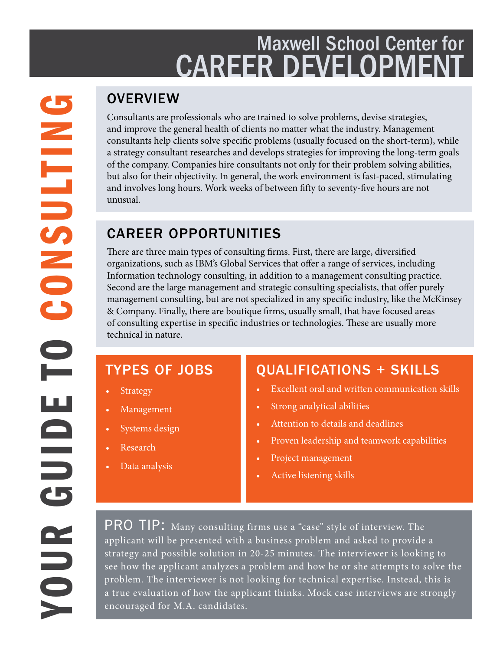# Maxwell School Center for **CAREER DEVELOPMEN**

#### **OVERVIEW**

Consultants are professionals who are trained to solve problems, devise strategies, and improve the general health of clients no matter what the industry. Management consultants help clients solve specific problems (usually focused on the short-term), while a strategy consultant researches and develops strategies for improving the long-term goals of the company. Companies hire consultants not only for their problem solving abilities, but also for their objectivity. In general, the work environment is fast-paced, stimulating and involves long hours. Work weeks of between fifty to seventy-five hours are not unusual.

### CAREER OPPORTUNITIES

There are three main types of consulting firms. First, there are large, diversified organizations, such as IBM's Global Services that offer a range of services, including Information technology consulting, in addition to a management consulting practice. Second are the large management and strategic consulting specialists, that offer purely management consulting, but are not specialized in any specific industry, like the McKinsey & Company. Finally, there are boutique firms, usually small, that have focused areas of consulting expertise in specific industries or technologies. These are usually more technical in nature.

# TYPES OF JOBS

- **Strategy**
- **Management**
- Systems design
- **Research**
- Data analysis

# QUALIFICATIONS + SKILLS

- Excellent oral and written communication skills
- Strong analytical abilities
- Attention to details and deadlines
- Proven leadership and teamwork capabilities
- Project management
- Active listening skills

PRO TIP: Many consulting firms use a "case" style of interview. The applicant will be presented with a business problem and asked to provide a strategy and possible solution in 20-25 minutes. The interviewer is looking to see how the applicant analyzes a problem and how he or she attempts to solve the problem. The interviewer is not looking for technical expertise. Instead, this is a true evaluation of how the applicant thinks. Mock case interviews are strongly encouraged for M.A. candidates.